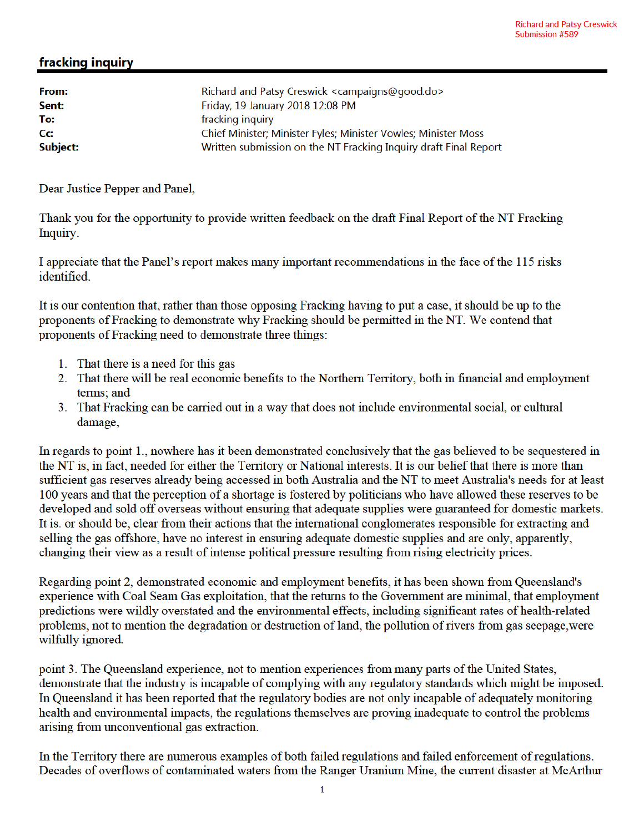## fracking inquiry

| From:    | Richard and Patsy Creswick <campaigns@good.do></campaigns@good.do> |
|----------|--------------------------------------------------------------------|
| Sent:    | Friday, 19 January 2018 12:08 PM                                   |
| To:      | fracking inquiry                                                   |
| cc:      | Chief Minister; Minister Fyles; Minister Vowles; Minister Moss     |
| Subject: | Written submission on the NT Fracking Inquiry draft Final Report   |
|          |                                                                    |

Dear Justice Pepper and Panel,

Thank you for the opportunity to provide written feedback on the draft Final Report of the NT Fracking Inquiry.

I appreciate that the Panel's report makes many important recommendations in the face of the 115 risks identified.

It is our contention that, rather than those opposing Fracking having to put a case, it should be up to the proponents of Fracking to demonstrate why Fracking should be permitted in the NT. We contend that proponents of Fracking need to demonstrate three things:

- 1. That there is a need for this gas
- 2. That there will be real economic benefits to the Northern Territory, both in financial and employment terms: and
- 3. That Fracking can be carried out in a way that does not include environmental social, or cultural damage,

In regards to point 1., nowhere has it been demonstrated conclusively that the gas believed to be sequestered in the NT is, in fact, needed for either the Territory or National interests. It is our belief that there is more than sufficient gas reserves already being accessed in both Australia and the NT to meet Australia's needs for at least 100 years and that the perception of a shortage is fostered by politicians who have allowed these reserves to be developed and sold off overseas without ensuring that adequate supplies were guaranteed for domestic markets. It is, or should be, clear from their actions that the international conglomerates responsible for extracting and selling the gas offshore, have no interest in ensuring adequate domestic supplies and are only, apparently, changing their view as a result of intense political pressure resulting from rising electricity prices.

Regarding point 2, demonstrated economic and employment benefits, it has been shown from Queensland's experience with Coal Seam Gas exploitation, that the returns to the Government are minimal, that employment predictions were wildly overstated and the environmental effects, including significant rates of health-related problems, not to mention the degradation or destruction of land, the pollution of rivers from gas seepage, were wilfully ignored.

point 3. The Queensland experience, not to mention experiences from many parts of the United States, demonstrate that the industry is incapable of complying with any regulatory standards which might be imposed. In Queensland it has been reported that the regulatory bodies are not only incapable of adequately monitoring health and environmental impacts, the regulations themselves are proving inadequate to control the problems arising from unconventional gas extraction.

In the Territory there are numerous examples of both failed regulations and failed enforcement of regulations. Decades of overflows of contaminated waters from the Ranger Uranium Mine, the current disaster at McArthur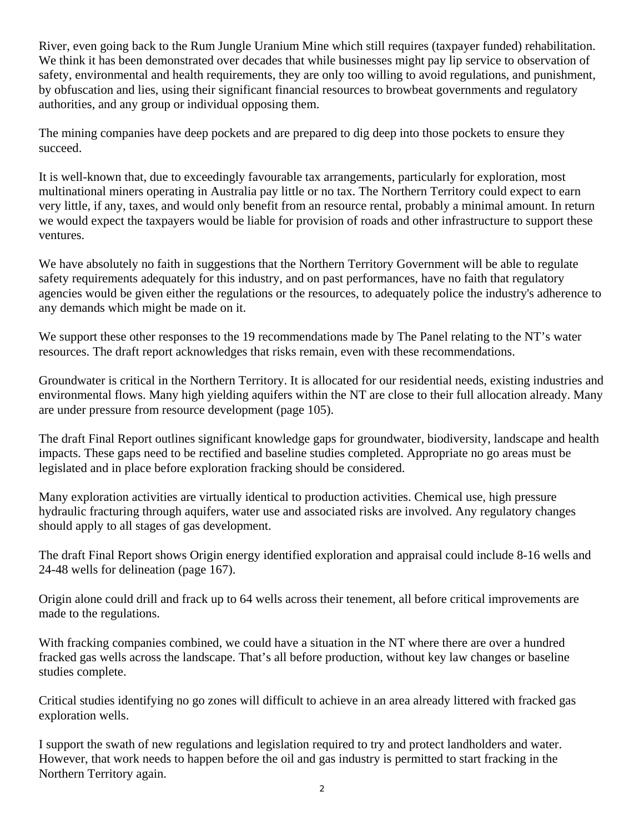River, even going back to the Rum Jungle Uranium Mine which still requires (taxpayer funded) rehabilitation. We think it has been demonstrated over decades that while businesses might pay lip service to observation of safety, environmental and health requirements, they are only too willing to avoid regulations, and punishment, by obfuscation and lies, using their significant financial resources to browbeat governments and regulatory authorities, and any group or individual opposing them.

The mining companies have deep pockets and are prepared to dig deep into those pockets to ensure they succeed.

It is well-known that, due to exceedingly favourable tax arrangements, particularly for exploration, most multinational miners operating in Australia pay little or no tax. The Northern Territory could expect to earn very little, if any, taxes, and would only benefit from an resource rental, probably a minimal amount. In return we would expect the taxpayers would be liable for provision of roads and other infrastructure to support these ventures.

We have absolutely no faith in suggestions that the Northern Territory Government will be able to regulate safety requirements adequately for this industry, and on past performances, have no faith that regulatory agencies would be given either the regulations or the resources, to adequately police the industry's adherence to any demands which might be made on it.

We support these other responses to the 19 recommendations made by The Panel relating to the NT's water resources. The draft report acknowledges that risks remain, even with these recommendations.

Groundwater is critical in the Northern Territory. It is allocated for our residential needs, existing industries and environmental flows. Many high yielding aquifers within the NT are close to their full allocation already. Many are under pressure from resource development (page 105).

The draft Final Report outlines significant knowledge gaps for groundwater, biodiversity, landscape and health impacts. These gaps need to be rectified and baseline studies completed. Appropriate no go areas must be legislated and in place before exploration fracking should be considered.

Many exploration activities are virtually identical to production activities. Chemical use, high pressure hydraulic fracturing through aquifers, water use and associated risks are involved. Any regulatory changes should apply to all stages of gas development.

The draft Final Report shows Origin energy identified exploration and appraisal could include 8-16 wells and 24-48 wells for delineation (page 167).

Origin alone could drill and frack up to 64 wells across their tenement, all before critical improvements are made to the regulations.

With fracking companies combined, we could have a situation in the NT where there are over a hundred fracked gas wells across the landscape. That's all before production, without key law changes or baseline studies complete.

Critical studies identifying no go zones will difficult to achieve in an area already littered with fracked gas exploration wells.

I support the swath of new regulations and legislation required to try and protect landholders and water. However, that work needs to happen before the oil and gas industry is permitted to start fracking in the Northern Territory again.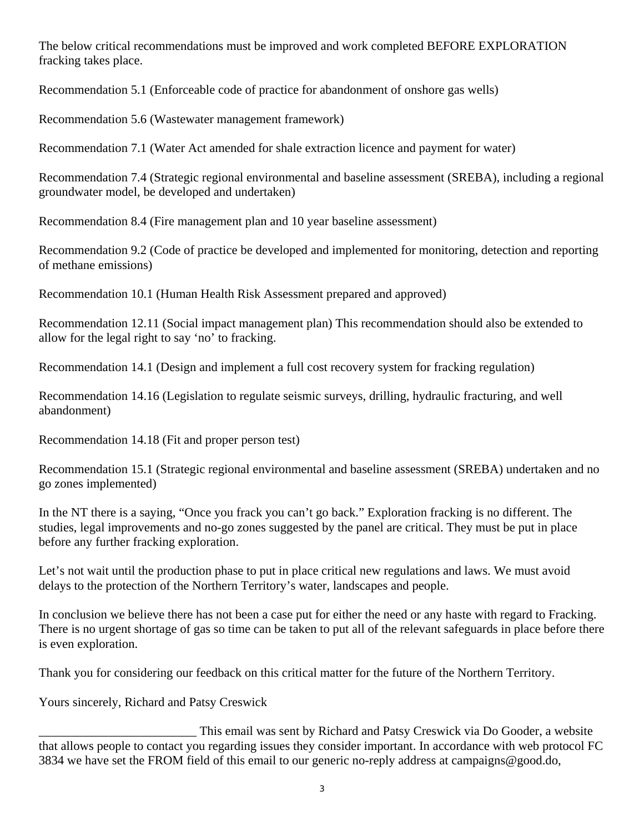The below critical recommendations must be improved and work completed BEFORE EXPLORATION fracking takes place.

Recommendation 5.1 (Enforceable code of practice for abandonment of onshore gas wells)

Recommendation 5.6 (Wastewater management framework)

Recommendation 7.1 (Water Act amended for shale extraction licence and payment for water)

Recommendation 7.4 (Strategic regional environmental and baseline assessment (SREBA), including a regional groundwater model, be developed and undertaken)

Recommendation 8.4 (Fire management plan and 10 year baseline assessment)

Recommendation 9.2 (Code of practice be developed and implemented for monitoring, detection and reporting of methane emissions)

Recommendation 10.1 (Human Health Risk Assessment prepared and approved)

Recommendation 12.11 (Social impact management plan) This recommendation should also be extended to allow for the legal right to say 'no' to fracking.

Recommendation 14.1 (Design and implement a full cost recovery system for fracking regulation)

Recommendation 14.16 (Legislation to regulate seismic surveys, drilling, hydraulic fracturing, and well abandonment)

Recommendation 14.18 (Fit and proper person test)

Recommendation 15.1 (Strategic regional environmental and baseline assessment (SREBA) undertaken and no go zones implemented)

In the NT there is a saying, "Once you frack you can't go back." Exploration fracking is no different. The studies, legal improvements and no-go zones suggested by the panel are critical. They must be put in place before any further fracking exploration.

Let's not wait until the production phase to put in place critical new regulations and laws. We must avoid delays to the protection of the Northern Territory's water, landscapes and people.

In conclusion we believe there has not been a case put for either the need or any haste with regard to Fracking. There is no urgent shortage of gas so time can be taken to put all of the relevant safeguards in place before there is even exploration.

Thank you for considering our feedback on this critical matter for the future of the Northern Territory.

Yours sincerely, Richard and Patsy Creswick

*\_\_\_\_\_\_\_\_\_\_\_\_\_\_\_\_\_\_\_\_\_\_\_\_*\_ This email was sent by Richard and Patsy Creswick via Do Gooder, a website that allows people to contact you regarding issues they consider important. In accordance with web protocol FC 3834 we have set the FROM field of this email to our generic no-reply address at campaigns@good.do,